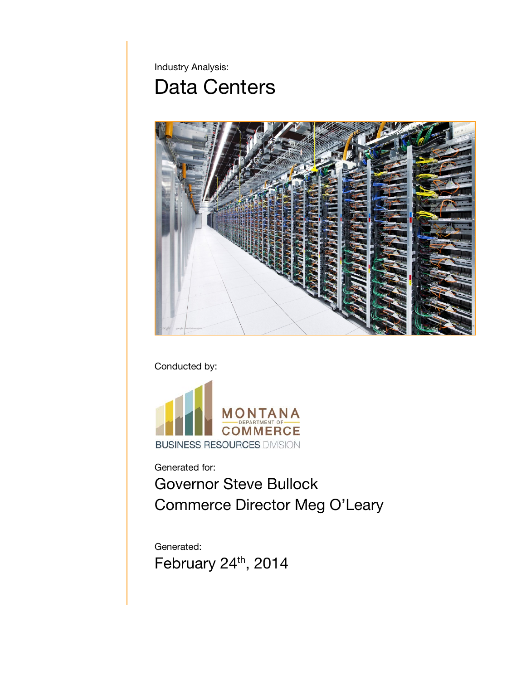Industry Analysis:

# Data Centers



Conducted by:



Generated for:

Governor Steve Bullock Commerce Director Meg O'Leary

Generated: February 24<sup>th</sup>, 2014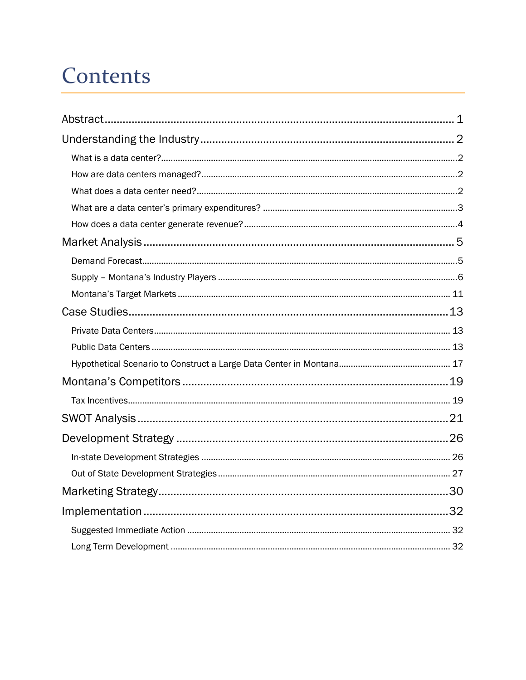# Contents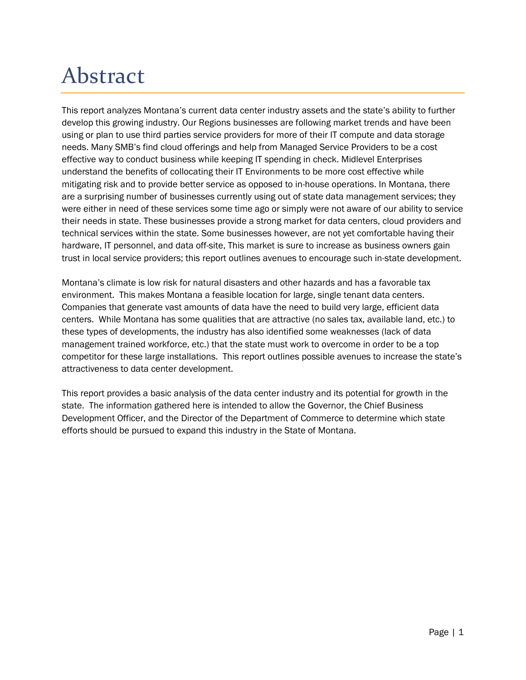# <span id="page-2-0"></span>Abstract

This report analyzes Montana's current data center industry assets and the state's ability to further develop this growing industry. Our Regions businesses are following market trends and have been using or plan to use third parties service providers for more of their IT compute and data storage needs. Many SMB's find cloud offerings and help from Managed Service Providers to be a cost effective way to conduct business while keeping IT spending in check. Midlevel Enterprises understand the benefits of collocating their IT Environments to be more cost effective while mitigating risk and to provide better service as opposed to in-house operations. In Montana, there are a surprising number of businesses currently using out of state data management services; they were either in need of these services some time ago or simply were not aware of our ability to service their needs in state. These businesses provide a strong market for data centers, cloud providers and technical services within the state. Some businesses however, are not yet comfortable having their hardware, IT personnel, and data off-site, This market is sure to increase as business owners gain trust in local service providers; this report outlines avenues to encourage such in-state development.

Montana's climate is low risk for natural disasters and other hazards and has a favorable tax environment. This makes Montana a feasible location for large, single tenant data centers. Companies that generate vast amounts of data have the need to build very large, efficient data centers. While Montana has some qualities that are attractive (no sales tax, available land, etc.) to these types of developments, the industry has also identified some weaknesses (lack of data management trained workforce, etc.) that the state must work to overcome in order to be a top competitor for these large installations. This report outlines possible avenues to increase the state's attractiveness to data center development.

This report provides a basic analysis of the data center industry and its potential for growth in the state. The information gathered here is intended to allow the Governor, the Chief Business Development Officer, and the Director of the Department of Commerce to determine which state efforts should be pursued to expand this industry in the State of Montana.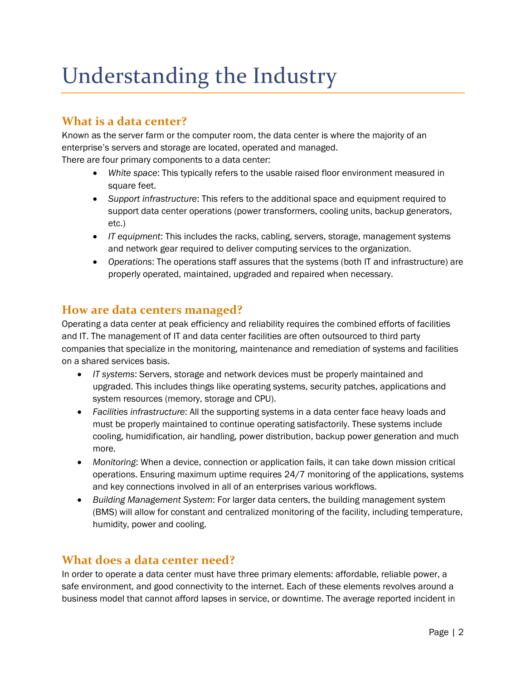# <span id="page-3-0"></span>Understanding the Industry

## <span id="page-3-1"></span>**What is a data center?**

Known as the server farm or the computer room, the data center is where the majority of an enterprise's servers and storage are located, operated and managed. There are four primary components to a data center:

- *White space*: This typically refers to the usable raised floor environment measured in square feet.
- *Support infrastructure*: This refers to the additional space and equipment required to support data center operations (power transformers, cooling units, backup generators, etc.)
- *IT equipment*: This includes the racks, cabling, servers, storage, management systems and network gear required to deliver computing services to the organization.
- *Operations*: The operations staff assures that the systems (both IT and infrastructure) are properly operated, maintained, upgraded and repaired when necessary.

## <span id="page-3-2"></span>**How are data centers managed?**

Operating a data center at peak efficiency and reliability requires the combined efforts of facilities and IT. The management of IT and data center facilities are often outsourced to third party companies that specialize in the monitoring, maintenance and remediation of systems and facilities on a shared services basis.

- *IT systems*: Servers, storage and network devices must be properly maintained and upgraded. This includes things like operating systems, security patches, applications and system resources (memory, storage and CPU).
- *Facilities infrastructure*: All the supporting systems in a data center face heavy loads and must be properly maintained to continue operating satisfactorily. These systems include cooling, humidification, air handling, power distribution, backup power generation and much more.
- *Monitoring*: When a device, connection or application fails, it can take down mission critical operations. Ensuring maximum uptime requires 24/7 monitoring of the applications, systems and key connections involved in all of an enterprises various workflows.
- *Building Management System*: For larger data centers, the building management system (BMS) will allow for constant and centralized monitoring of the facility, including temperature, humidity, power and cooling.

# <span id="page-3-3"></span>**What does a data center need?**

In order to operate a data center must have three primary elements: affordable, reliable power, a safe environment, and good connectivity to the internet. Each of these elements revolves around a business model that cannot afford lapses in service, or downtime. The average reported incident in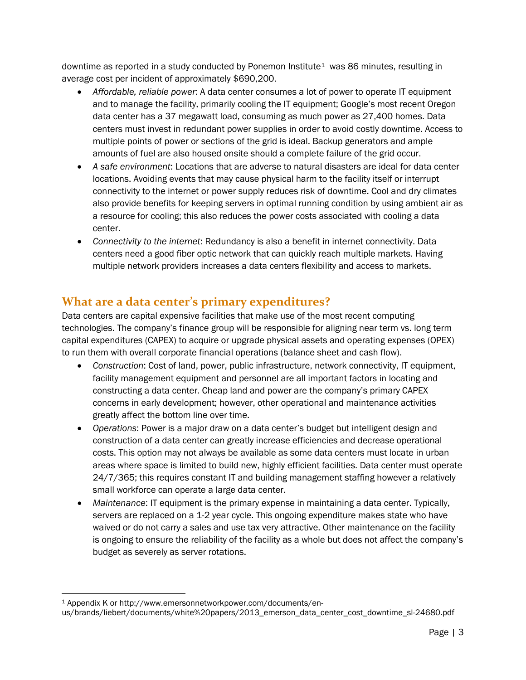downtime as reported in a study conducted by Ponemon Institute<sup>[1](#page-4-1)</sup> was 86 minutes, resulting in average cost per incident of approximately \$690,200.

- *Affordable, reliable power*: A data center consumes a lot of power to operate IT equipment and to manage the facility, primarily cooling the IT equipment; Google's most recent Oregon data center has a 37 megawatt load, consuming as much power as 27,400 homes. Data centers must invest in redundant power supplies in order to avoid costly downtime. Access to multiple points of power or sections of the grid is ideal. Backup generators and ample amounts of fuel are also housed onsite should a complete failure of the grid occur.
- *A safe environment*: Locations that are adverse to natural disasters are ideal for data center locations. Avoiding events that may cause physical harm to the facility itself or interrupt connectivity to the internet or power supply reduces risk of downtime. Cool and dry climates also provide benefits for keeping servers in optimal running condition by using ambient air as a resource for cooling; this also reduces the power costs associated with cooling a data center.
- *Connectivity to the internet*: Redundancy is also a benefit in internet connectivity. Data centers need a good fiber optic network that can quickly reach multiple markets. Having multiple network providers increases a data centers flexibility and access to markets.

## <span id="page-4-0"></span>**What are a data center's primary expenditures?**

Data centers are capital expensive facilities that make use of the most recent computing technologies. The company's finance group will be responsible for aligning near term vs. long term capital expenditures (CAPEX) to acquire or upgrade physical assets and operating expenses (OPEX) to run them with overall corporate financial operations (balance sheet and cash flow).

- *Construction*: Cost of land, power, public infrastructure, network connectivity, IT equipment, facility management equipment and personnel are all important factors in locating and constructing a data center. Cheap land and power are the company's primary CAPEX concerns in early development; however, other operational and maintenance activities greatly affect the bottom line over time.
- *Operations*: Power is a major draw on a data center's budget but intelligent design and construction of a data center can greatly increase efficiencies and decrease operational costs. This option may not always be available as some data centers must locate in urban areas where space is limited to build new, highly efficient facilities. Data center must operate 24/7/365; this requires constant IT and building management staffing however a relatively small workforce can operate a large data center.
- *Maintenance*: IT equipment is the primary expense in maintaining a data center. Typically, servers are replaced on a 1-2 year cycle. This ongoing expenditure makes state who have waived or do not carry a sales and use tax very attractive. Other maintenance on the facility is ongoing to ensure the reliability of the facility as a whole but does not affect the company's budget as severely as server rotations.

<span id="page-4-1"></span> <sup>1</sup> Appendix K or http://www.emersonnetworkpower.com/documents/en-

us/brands/liebert/documents/white%20papers/2013\_emerson\_data\_center\_cost\_downtime\_sl-24680.pdf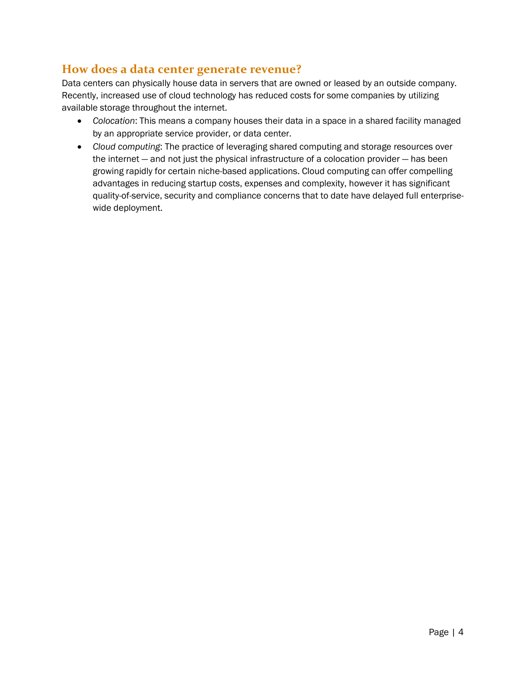## <span id="page-5-0"></span>**How does a data center generate revenue?**

Data centers can physically house data in servers that are owned or leased by an outside company. Recently, increased use of cloud technology has reduced costs for some companies by utilizing available storage throughout the internet.

- *Colocation*: This means a company houses their data in a space in a shared facility managed by an appropriate service provider, or data center.
- *Cloud computing*: The practice of leveraging shared computing and storage resources over the internet — and not just the physical infrastructure of a colocation provider — has been growing rapidly for certain niche-based applications. Cloud computing can offer compelling advantages in reducing startup costs, expenses and complexity, however it has significant quality-of-service, security and compliance concerns that to date have delayed full enterprisewide deployment.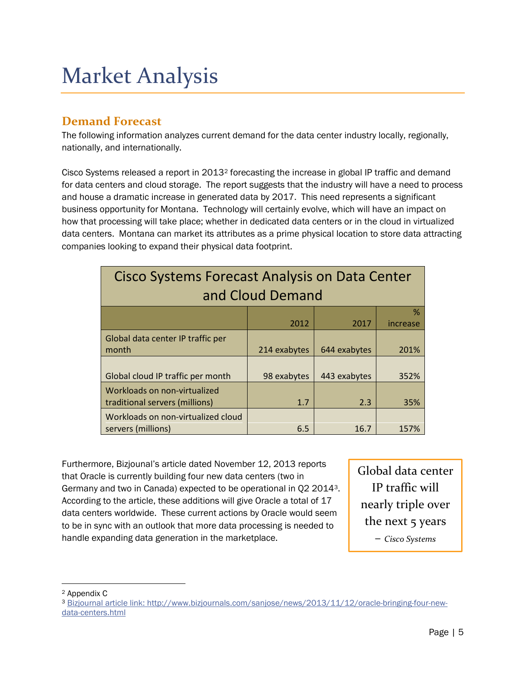# <span id="page-6-0"></span>Market Analysis

# <span id="page-6-1"></span>**Demand Forecast**

The following information analyzes current demand for the data center industry locally, regionally, nationally, and internationally.

Cisco Systems released a report in 2013[2](#page-6-2) forecasting the increase in global IP traffic and demand for data centers and cloud storage. The report suggests that the industry will have a need to process and house a dramatic increase in generated data by 2017. This need represents a significant business opportunity for Montana. Technology will certainly evolve, which will have an impact on how that processing will take place; whether in dedicated data centers or in the cloud in virtualized data centers. Montana can market its attributes as a prime physical location to store data attracting companies looking to expand their physical data footprint.

| Cisco Systems Forecast Analysis on Data Center<br>and Cloud Demand |              |              |          |  |
|--------------------------------------------------------------------|--------------|--------------|----------|--|
|                                                                    |              |              | %        |  |
|                                                                    | 2012         | 2017         | increase |  |
| Global data center IP traffic per<br>month                         | 214 exabytes | 644 exabytes | 201%     |  |
| Global cloud IP traffic per month                                  | 98 exabytes  | 443 exabytes | 352%     |  |
| Workloads on non-virtualized<br>traditional servers (millions)     | 1.7          | 2.3          | 35%      |  |
| Workloads on non-virtualized cloud<br>servers (millions)           | 6.5          | 16.7         | 157%     |  |

Furthermore, Bizjounal's article dated November 12, 2013 reports that Oracle is currently building four new data centers (two in Germany and two in Canada) expected to be operational in Q2 2014[3](#page-6-3). According to the article, these additions will give Oracle a total of 17 data centers worldwide. These current actions by Oracle would seem to be in sync with an outlook that more data processing is needed to handle expanding data generation in the marketplace.

Global data center IP traffic will nearly triple over the next 5 years – *Cisco Systems*

<span id="page-6-2"></span> <sup>2</sup> Appendix C

<span id="page-6-3"></span><sup>3</sup> [Bizjournal article link:](http://www.bizjournals.com/sanjose/news/2013/11/12/oracle-bringing-four-new-data-centers.html) http://www.bizjournals.com/sanjose/news/2013/11/12/oracle-bringing-four-newdata-centers.html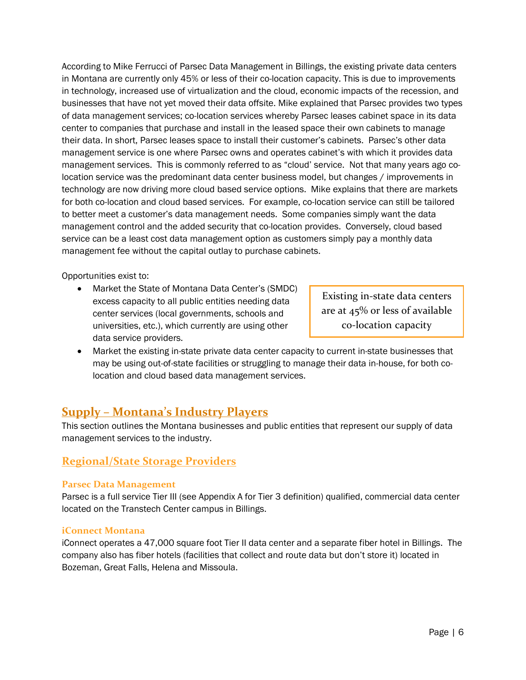According to Mike Ferrucci of Parsec Data Management in Billings, the existing private data centers in Montana are currently only 45% or less of their co-location capacity. This is due to improvements in technology, increased use of virtualization and the cloud, economic impacts of the recession, and businesses that have not yet moved their data offsite. Mike explained that Parsec provides two types of data management services; co-location services whereby Parsec leases cabinet space in its data center to companies that purchase and install in the leased space their own cabinets to manage their data. In short, Parsec leases space to install their customer's cabinets. Parsec's other data management service is one where Parsec owns and operates cabinet's with which it provides data management services. This is commonly referred to as "cloud' service. Not that many years ago colocation service was the predominant data center business model, but changes / improvements in technology are now driving more cloud based service options. Mike explains that there are markets for both co-location and cloud based services. For example, co-location service can still be tailored to better meet a customer's data management needs. Some companies simply want the data management control and the added security that co-location provides. Conversely, cloud based service can be a least cost data management option as customers simply pay a monthly data management fee without the capital outlay to purchase cabinets.

Opportunities exist to:

• Market the State of Montana Data Center's (SMDC) excess capacity to all public entities needing data center services (local governments, schools and universities, etc.), which currently are using other data service providers.

Existing in-state data centers are at 45% or less of available co-location capacity

• Market the existing in-state private data center capacity to current in-state businesses that may be using out-of-state facilities or struggling to manage their data in-house, for both colocation and cloud based data management services.

## <span id="page-7-0"></span>**Supply – Montana's Industry Players**

This section outlines the Montana businesses and public entities that represent our supply of data management services to the industry.

## **Regional/State Storage Providers**

#### **Parsec Data Management**

Parsec is a full service Tier III (see Appendix A for Tier 3 definition) qualified, commercial data center located on the Transtech Center campus in Billings.

#### **iConnect Montana**

iConnect operates a 47,000 square foot Tier II data center and a separate fiber hotel in Billings. The company also has fiber hotels (facilities that collect and route data but don't store it) located in Bozeman, Great Falls, Helena and Missoula.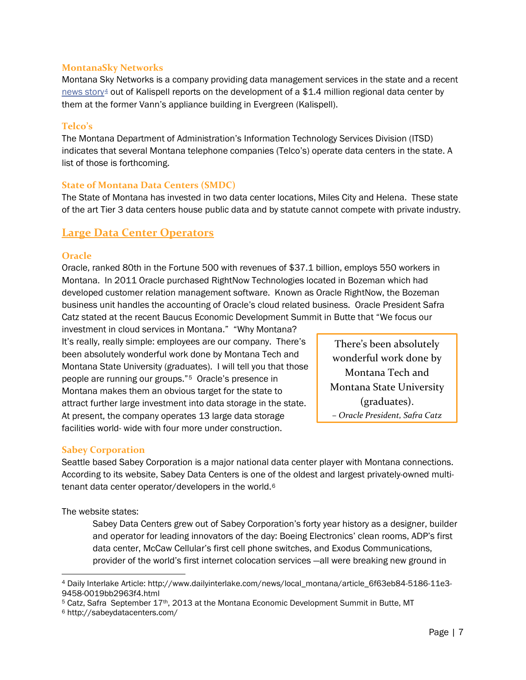#### **MontanaSky Networks**

Montana Sky Networks is a company providing data management services in the state and a recent [news story](http://www.dailyinterlake.com/news/local_montana/article_6f63eb84-5186-11e3-9458-0019bb2963f4.html)<sup>[4](#page-8-0)</sup> out of Kalispell reports on the development of a \$1.4 million regional data center by them at the former Vann's appliance building in Evergreen (Kalispell).

#### **Telco's**

The Montana Department of Administration's Information Technology Services Division (ITSD) indicates that several Montana telephone companies (Telco's) operate data centers in the state. A list of those is forthcoming.

#### **State of Montana Data Centers (SMDC)**

The State of Montana has invested in two data center locations, Miles City and Helena. These state of the art Tier 3 data centers house public data and by statute cannot compete with private industry.

### **Large Data Center Operators**

#### **Oracle**

Oracle, ranked 80th in the Fortune 500 with revenues of \$37.1 billion, employs 550 workers in Montana. In 2011 Oracle purchased RightNow Technologies located in Bozeman which had developed customer relation management software. Known as Oracle RightNow, the Bozeman business unit handles the accounting of Oracle's cloud related business. Oracle President Safra Catz stated at the recent Baucus Economic Development Summit in Butte that "We focus our

investment in cloud services in Montana." "Why Montana? It's really, really simple: employees are our company. There's been absolutely wonderful work done by Montana Tech and Montana State University (graduates). I will tell you that those people are running our groups."[5](#page-8-1) Oracle's presence in Montana makes them an obvious target for the state to attract further large investment into data storage in the state. At present, the company operates 13 large data storage facilities world- wide with four more under construction.

There's been absolutely wonderful work done by Montana Tech and Montana State University (graduates). – *Oracle President, Safra Catz*

#### **Sabey Corporation**

Seattle based Sabey Corporation is a major national data center player with Montana connections. According to its website, Sabey Data Centers is one of the oldest and largest privately-owned multitenant data center operator/developers in the world.[6](#page-8-2) 

The website states:

Sabey Data Centers grew out of Sabey Corporation's forty year history as a designer, builder and operator for leading innovators of the day: Boeing Electronics' clean rooms, ADP's first data center, McCaw Cellular's first cell phone switches, and Exodus Communications, provider of the world's first internet colocation services —all were breaking new ground in

<span id="page-8-0"></span> <sup>4</sup> Daily Interlake Article: http://www.dailyinterlake.com/news/local\_montana/article\_6f63eb84-5186-11e3- 9458-0019bb2963f4.html

<span id="page-8-1"></span><sup>5</sup> Catz, Safra September 17th, 2013 at the Montana Economic Development Summit in Butte, MT

<span id="page-8-2"></span><sup>6</sup> http://sabeydatacenters.com/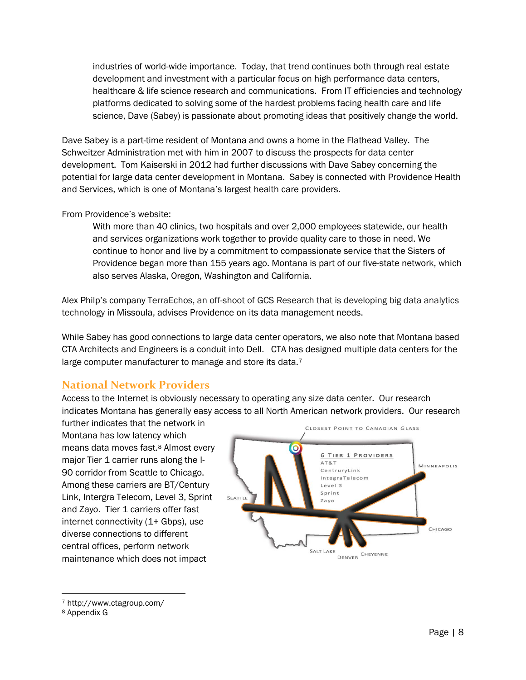industries of world-wide importance. Today, that trend continues both through real estate development and investment with a particular focus on high performance data centers, healthcare & life science research and communications. From IT efficiencies and technology platforms dedicated to solving some of the hardest problems facing health care and life science, Dave (Sabey) is passionate about promoting ideas that positively change the world.

Dave Sabey is a part-time resident of Montana and owns a home in the Flathead Valley. The Schweitzer Administration met with him in 2007 to discuss the prospects for data center development. Tom Kaiserski in 2012 had further discussions with Dave Sabey concerning the potential for large data center development in Montana. Sabey is connected with Providence Health and Services, which is one of Montana's largest health care providers.

#### From Providence's website:

With more than 40 clinics, two hospitals and over 2,000 employees statewide, our health and services organizations work together to provide quality care to those in need. We continue to honor and live by a commitment to compassionate service that the Sisters of Providence began more than 155 years ago. Montana is part of our five-state network, which also serves Alaska, Oregon, Washington and California.

Alex Philp's company TerraEchos, an off-shoot of GCS Research that is developing big data analytics technology in Missoula, advises Providence on its data management needs.

While Sabey has good connections to large data center operators, we also note that Montana based CTA Architects and Engineers is a conduit into Dell. CTA has designed multiple data centers for the large computer manufacturer to manage and store its data.<sup>[7](#page-9-0)</sup>

### **National Network Providers**

Access to the Internet is obviously necessary to operating any size data center. Our research indicates Montana has generally easy access to all North American network providers. Our research

further indicates that the network in Montana has low latency which means data moves fast.[8](#page-9-1) Almost every major Tier 1 carrier runs along the I-90 corridor from Seattle to Chicago. Among these carriers are BT/Century Link, Intergra Telecom, Level 3, Sprint and Zayo. Tier 1 carriers offer fast internet connectivity (1+ Gbps), use diverse connections to different central offices, perform network maintenance which does not impact



<span id="page-9-0"></span> <sup>7</sup> http://www.ctagroup.com/

<span id="page-9-1"></span><sup>8</sup> Appendix G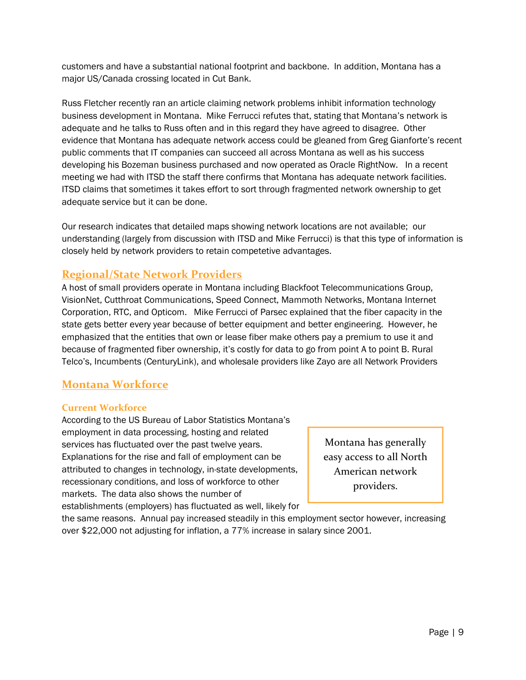customers and have a substantial national footprint and backbone. In addition, Montana has a major US/Canada crossing located in Cut Bank.

Russ Fletcher recently ran an article claiming network problems inhibit information technology business development in Montana. Mike Ferrucci refutes that, stating that Montana's network is adequate and he talks to Russ often and in this regard they have agreed to disagree. Other evidence that Montana has adequate network access could be gleaned from Greg Gianforte's recent public comments that IT companies can succeed all across Montana as well as his success developing his Bozeman business purchased and now operated as Oracle RightNow. In a recent meeting we had with ITSD the staff there confirms that Montana has adequate network facilities. ITSD claims that sometimes it takes effort to sort through fragmented network ownership to get adequate service but it can be done.

Our research indicates that detailed maps showing network locations are not available; our understanding (largely from discussion with ITSD and Mike Ferrucci) is that this type of information is closely held by network providers to retain competetive advantages.

## **Regional/State Network Providers**

A host of small providers operate in Montana including Blackfoot Telecommunications Group, VisionNet, Cutthroat Communications, Speed Connect, Mammoth Networks, Montana Internet Corporation, RTC, and Opticom. Mike Ferrucci of Parsec explained that the fiber capacity in the state gets better every year because of better equipment and better engineering. However, he emphasized that the entities that own or lease fiber make others pay a premium to use it and because of fragmented fiber ownership, it's costly for data to go from point A to point B. Rural Telco's, Incumbents (CenturyLink), and wholesale providers like Zayo are all Network Providers

### **Montana Workforce**

#### **Current Workforce**

According to the US Bureau of Labor Statistics Montana's employment in data processing, hosting and related services has fluctuated over the past twelve years. Explanations for the rise and fall of employment can be attributed to changes in technology, in-state developments, recessionary conditions, and loss of workforce to other markets. The data also shows the number of establishments (employers) has fluctuated as well, likely for

Montana has generally easy access to all North American network providers.

the same reasons. Annual pay increased steadily in this employment sector however, increasing over \$22,000 not adjusting for inflation, a 77% increase in salary since 2001.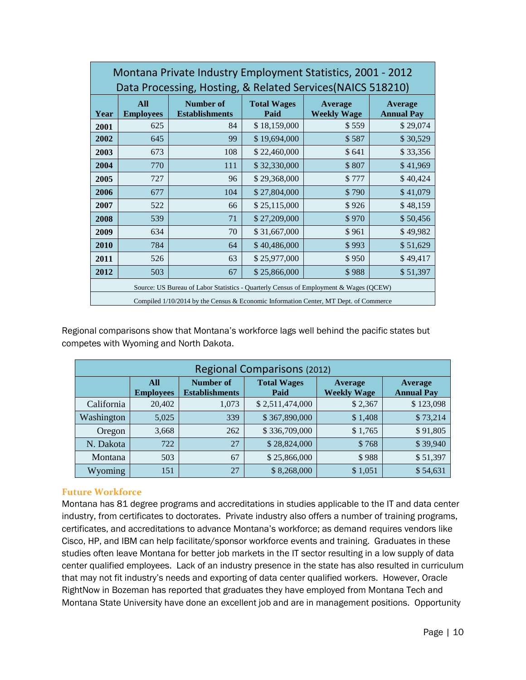| Montana Private Industry Employment Statistics, 2001 - 2012<br>Data Processing, Hosting, & Related Services (NAICS 518210) |                                                                                        |                                           |                            |                               |                              |  |
|----------------------------------------------------------------------------------------------------------------------------|----------------------------------------------------------------------------------------|-------------------------------------------|----------------------------|-------------------------------|------------------------------|--|
| Year                                                                                                                       | <b>All</b><br><b>Employees</b>                                                         | <b>Number of</b><br><b>Establishments</b> | <b>Total Wages</b><br>Paid | Average<br><b>Weekly Wage</b> | Average<br><b>Annual Pay</b> |  |
| 2001                                                                                                                       | 625                                                                                    | 84                                        | \$18,159,000               | \$559                         | \$29,074                     |  |
| 2002                                                                                                                       | 645                                                                                    | 99                                        | \$19,694,000               | \$587                         | \$30,529                     |  |
| 2003                                                                                                                       | 673                                                                                    | 108                                       | \$22,460,000               | \$641                         | \$33,356                     |  |
| 2004                                                                                                                       | 770                                                                                    | 111                                       | \$32,330,000               | \$807                         | \$41,969                     |  |
| 2005                                                                                                                       | 727                                                                                    | 96                                        | \$29,368,000               | \$777                         | \$40,424                     |  |
| 2006                                                                                                                       | 677                                                                                    | 104                                       | \$27,804,000               | \$790                         | \$41,079                     |  |
| 2007                                                                                                                       | 522                                                                                    | 66                                        | \$25,115,000               | \$926                         | \$48,159                     |  |
| 2008                                                                                                                       | 539                                                                                    | 71                                        | \$27,209,000               | \$970                         | \$50,456                     |  |
| 2009                                                                                                                       | 634                                                                                    | 70                                        | \$31,667,000               | \$961                         | \$49,982                     |  |
| 2010                                                                                                                       | 784                                                                                    | 64                                        | \$40,486,000               | \$993                         | \$51,629                     |  |
| 2011                                                                                                                       | 526                                                                                    | 63                                        | \$25,977,000               | \$950                         | \$49,417                     |  |
| 2012                                                                                                                       | 503                                                                                    | 67                                        | \$25,866,000               | \$988                         | \$51,397                     |  |
| Source: US Bureau of Labor Statistics - Quarterly Census of Employment & Wages (QCEW)                                      |                                                                                        |                                           |                            |                               |                              |  |
|                                                                                                                            | Compiled $1/10/2014$ by the Census & Economic Information Center, MT Dept. of Commerce |                                           |                            |                               |                              |  |

Regional comparisons show that Montana's workforce lags well behind the pacific states but competes with Wyoming and North Dakota.

| <b>Regional Comparisons (2012)</b> |                         |                                           |                            |                               |                                     |
|------------------------------------|-------------------------|-------------------------------------------|----------------------------|-------------------------------|-------------------------------------|
|                                    | All<br><b>Employees</b> | <b>Number of</b><br><b>Establishments</b> | <b>Total Wages</b><br>Paid | Average<br><b>Weekly Wage</b> | <b>Average</b><br><b>Annual Pay</b> |
| California                         | 20,402                  | 1,073                                     | \$2,511,474,000            | \$2,367                       | \$123,098                           |
| Washington                         | 5,025                   | 339                                       | \$367,890,000              | \$1,408                       | \$73,214                            |
| Oregon                             | 3,668                   | 262                                       | \$336,709,000              | \$1,765                       | \$91,805                            |
| N. Dakota                          | 722                     | 27                                        | \$28,824,000               | \$768                         | \$39,940                            |
| Montana                            | 503                     | 67                                        | \$25,866,000               | \$988                         | \$51,397                            |
| Wyoming                            | 151                     | 27                                        | \$8,268,000                | \$1,051                       | \$54,631                            |

#### **Future Workforce**

Montana has 81 degree programs and accreditations in studies applicable to the IT and data center industry, from certificates to doctorates. Private industry also offers a number of training programs, certificates, and accreditations to advance Montana's workforce; as demand requires vendors like Cisco, HP, and IBM can help facilitate/sponsor workforce events and training. Graduates in these studies often leave Montana for better job markets in the IT sector resulting in a low supply of data center qualified employees. Lack of an industry presence in the state has also resulted in curriculum that may not fit industry's needs and exporting of data center qualified workers. However, Oracle RightNow in Bozeman has reported that graduates they have employed from Montana Tech and Montana State University have done an excellent job and are in management positions. Opportunity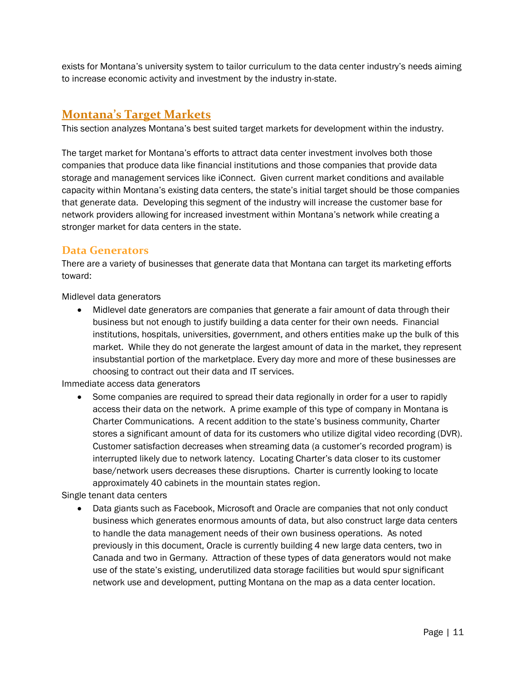exists for Montana's university system to tailor curriculum to the data center industry's needs aiming to increase economic activity and investment by the industry in-state.

## <span id="page-12-0"></span>**Montana's Target Markets**

This section analyzes Montana's best suited target markets for development within the industry.

The target market for Montana's efforts to attract data center investment involves both those companies that produce data like financial institutions and those companies that provide data storage and management services like iConnect. Given current market conditions and available capacity within Montana's existing data centers, the state's initial target should be those companies that generate data. Developing this segment of the industry will increase the customer base for network providers allowing for increased investment within Montana's network while creating a stronger market for data centers in the state.

### **Data Generators**

There are a variety of businesses that generate data that Montana can target its marketing efforts toward:

Midlevel data generators

• Midlevel date generators are companies that generate a fair amount of data through their business but not enough to justify building a data center for their own needs. Financial institutions, hospitals, universities, government, and others entities make up the bulk of this market. While they do not generate the largest amount of data in the market, they represent insubstantial portion of the marketplace. Every day more and more of these businesses are choosing to contract out their data and IT services.

Immediate access data generators

• Some companies are required to spread their data regionally in order for a user to rapidly access their data on the network. A prime example of this type of company in Montana is Charter Communications. A recent addition to the state's business community, Charter stores a significant amount of data for its customers who utilize digital video recording (DVR). Customer satisfaction decreases when streaming data (a customer's recorded program) is interrupted likely due to network latency. Locating Charter's data closer to its customer base/network users decreases these disruptions. Charter is currently looking to locate approximately 40 cabinets in the mountain states region.

Single tenant data centers

• Data giants such as Facebook, Microsoft and Oracle are companies that not only conduct business which generates enormous amounts of data, but also construct large data centers to handle the data management needs of their own business operations. As noted previously in this document, Oracle is currently building 4 new large data centers, two in Canada and two in Germany. Attraction of these types of data generators would not make use of the state's existing, underutilized data storage facilities but would spur significant network use and development, putting Montana on the map as a data center location.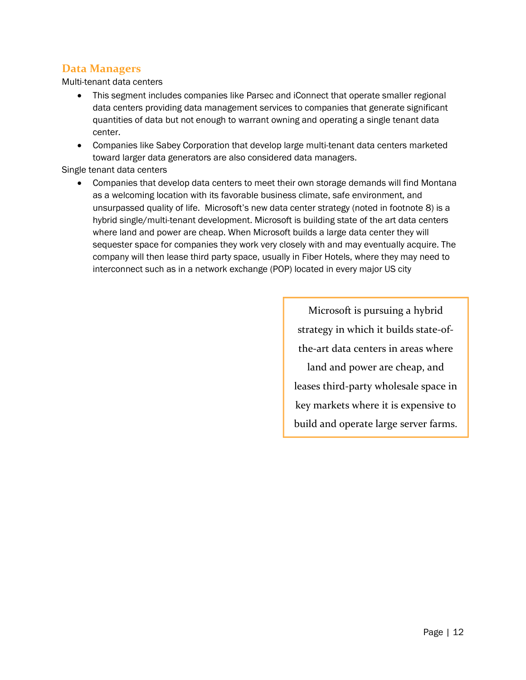## **Data Managers**

Multi-tenant data centers

- This segment includes companies like Parsec and iConnect that operate smaller regional data centers providing data management services to companies that generate significant quantities of data but not enough to warrant owning and operating a single tenant data center.
- Companies like Sabey Corporation that develop large multi-tenant data centers marketed toward larger data generators are also considered data managers.

Single tenant data centers

• Companies that develop data centers to meet their own storage demands will find Montana as a welcoming location with its favorable business climate, safe environment, and unsurpassed quality of life. Microsoft's new data center strategy (noted in footnote 8) is a hybrid single/multi-tenant development. Microsoft is building state of the art data centers where land and power are cheap. When Microsoft builds a large data center they will sequester space for companies they work very closely with and may eventually acquire. The company will then lease third party space, usually in Fiber Hotels, where they may need to interconnect such as in a network exchange (POP) located in every major US city

> Microsoft is pursuing a hybrid strategy in which it builds state-ofthe-art data centers in areas where land and power are cheap, and leases third-party wholesale space in key markets where it is expensive to build and operate large server farms.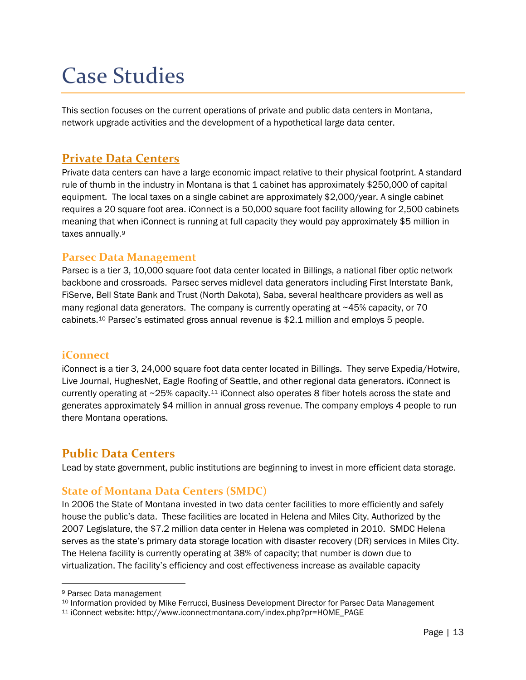# <span id="page-14-0"></span>Case Studies

This section focuses on the current operations of private and public data centers in Montana, network upgrade activities and the development of a hypothetical large data center.

## <span id="page-14-1"></span>**Private Data Centers**

Private data centers can have a large economic impact relative to their physical footprint. A standard rule of thumb in the industry in Montana is that 1 cabinet has approximately \$250,000 of capital equipment. The local taxes on a single cabinet are approximately \$2,000/year. A single cabinet requires a 20 square foot area. iConnect is a 50,000 square foot facility allowing for 2,500 cabinets meaning that when iConnect is running at full capacity they would pay approximately \$5 million in taxes annually.[9](#page-14-3)

### **Parsec Data Management**

Parsec is a tier 3, 10,000 square foot data center located in Billings, a national fiber optic network backbone and crossroads. Parsec serves midlevel data generators including First Interstate Bank, FiServe, Bell State Bank and Trust (North Dakota), Saba, several healthcare providers as well as many regional data generators. The company is currently operating at  $\sim$ 45% capacity, or 70 cabinets.[10](#page-14-4) Parsec's estimated gross annual revenue is \$2.1 million and employs 5 people.

### **iConnect**

iConnect is a tier 3, 24,000 square foot data center located in Billings. They serve Expedia/Hotwire, Live Journal, HughesNet, Eagle Roofing of Seattle, and other regional data generators. iConnect is currently operating at ~25% capacity.[11](#page-14-5) iConnect also operates 8 fiber hotels across the state and generates approximately \$4 million in annual gross revenue. The company employs 4 people to run there Montana operations.

### <span id="page-14-2"></span>**Public Data Centers**

Lead by state government, public institutions are beginning to invest in more efficient data storage.

### **State of Montana Data Centers (SMDC)**

In 2006 the State of Montana invested in two data center facilities to more efficiently and safely house the public's data. These facilities are located in Helena and Miles City. Authorized by the 2007 Legislature, the \$7.2 million data center in Helena was completed in 2010. SMDC Helena serves as the state's primary data storage location with disaster recovery (DR) services in Miles City. The Helena facility is currently operating at 38% of capacity; that number is down due to virtualization. The facility's efficiency and cost effectiveness increase as available capacity

<span id="page-14-3"></span> <sup>9</sup> Parsec Data management

<span id="page-14-4"></span><sup>&</sup>lt;sup>10</sup> Information provided by Mike Ferrucci, Business Development Director for Parsec Data Management

<span id="page-14-5"></span><sup>11</sup> iConnect website: http://www.iconnectmontana.com/index.php?pr=HOME\_PAGE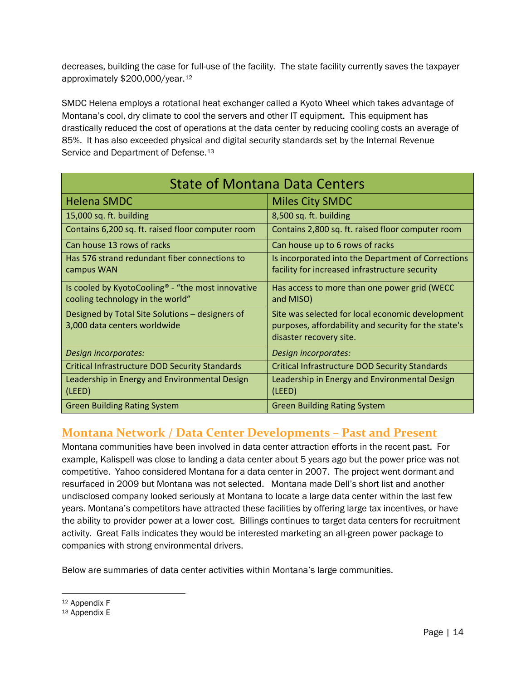decreases, building the case for full-use of the facility. The state facility currently saves the taxpayer approximately \$200,000/year.[12](#page-15-0)

SMDC Helena employs a rotational heat exchanger called a Kyoto Wheel which takes advantage of Montana's cool, dry climate to cool the servers and other IT equipment. This equipment has drastically reduced the cost of operations at the data center by reducing cooling costs an average of 85%. It has also exceeded physical and digital security standards set by the Internal Revenue Service and Department of Defense.<sup>[13](#page-15-1)</sup>

| <b>State of Montana Data Centers</b>                                                  |                                                                                                                                     |  |  |  |
|---------------------------------------------------------------------------------------|-------------------------------------------------------------------------------------------------------------------------------------|--|--|--|
| <b>Helena SMDC</b>                                                                    | <b>Miles City SMDC</b>                                                                                                              |  |  |  |
| 15,000 sq. ft. building                                                               | 8,500 sq. ft. building                                                                                                              |  |  |  |
| Contains 6,200 sq. ft. raised floor computer room                                     | Contains 2,800 sq. ft. raised floor computer room                                                                                   |  |  |  |
| Can house 13 rows of racks                                                            | Can house up to 6 rows of racks                                                                                                     |  |  |  |
| Has 576 strand redundant fiber connections to<br>campus WAN                           | Is incorporated into the Department of Corrections<br>facility for increased infrastructure security                                |  |  |  |
| Is cooled by KyotoCooling® - "the most innovative<br>cooling technology in the world" | Has access to more than one power grid (WECC<br>and MISO)                                                                           |  |  |  |
| Designed by Total Site Solutions - designers of<br>3,000 data centers worldwide       | Site was selected for local economic development<br>purposes, affordability and security for the state's<br>disaster recovery site. |  |  |  |
| Design incorporates:                                                                  | Design incorporates:                                                                                                                |  |  |  |
| <b>Critical Infrastructure DOD Security Standards</b>                                 | <b>Critical Infrastructure DOD Security Standards</b>                                                                               |  |  |  |
| Leadership in Energy and Environmental Design<br>(LEED)                               | Leadership in Energy and Environmental Design<br>(LEED)                                                                             |  |  |  |
| <b>Green Building Rating System</b>                                                   | <b>Green Building Rating System</b>                                                                                                 |  |  |  |

# **Montana Network / Data Center Developments – Past and Present**

Montana communities have been involved in data center attraction efforts in the recent past. For example, Kalispell was close to landing a data center about 5 years ago but the power price was not competitive. Yahoo considered Montana for a data center in 2007. The project went dormant and resurfaced in 2009 but Montana was not selected. Montana made Dell's short list and another undisclosed company looked seriously at Montana to locate a large data center within the last few years. Montana's competitors have attracted these facilities by offering large tax incentives, or have the ability to provider power at a lower cost. Billings continues to target data centers for recruitment activity. Great Falls indicates they would be interested marketing an all-green power package to companies with strong environmental drivers.

Below are summaries of data center activities within Montana's large communities.

<span id="page-15-0"></span> <sup>12</sup> Appendix F

<span id="page-15-1"></span><sup>13</sup> Appendix E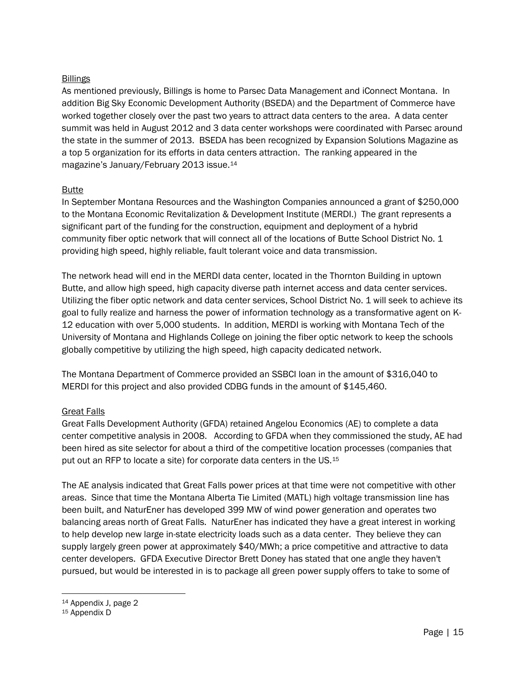#### Billings

As mentioned previously, Billings is home to Parsec Data Management and iConnect Montana. In addition Big Sky Economic Development Authority (BSEDA) and the Department of Commerce have worked together closely over the past two years to attract data centers to the area. A data center summit was held in August 2012 and 3 data center workshops were coordinated with Parsec around the state in the summer of 2013. BSEDA has been recognized by Expansion Solutions Magazine as a top 5 organization for its efforts in data centers attraction. The ranking appeared in the magazine's January/February 2013 issue.[14](#page-16-0)

#### Butte

In September Montana Resources and the Washington Companies announced a grant of \$250,000 to the Montana Economic Revitalization & Development Institute (MERDI.) The grant represents a significant part of the funding for the construction, equipment and deployment of a hybrid community fiber optic network that will connect all of the locations of Butte School District No. 1 providing high speed, highly reliable, fault tolerant voice and data transmission.

The network head will end in the MERDI data center, located in the Thornton Building in uptown Butte, and allow high speed, high capacity diverse path internet access and data center services. Utilizing the fiber optic network and data center services, School District No. 1 will seek to achieve its goal to fully realize and harness the power of information technology as a transformative agent on K-12 education with over 5,000 students. In addition, MERDI is working with Montana Tech of the University of Montana and Highlands College on joining the fiber optic network to keep the schools globally competitive by utilizing the high speed, high capacity dedicated network.

The Montana Department of Commerce provided an SSBCI loan in the amount of \$316,040 to MERDI for this project and also provided CDBG funds in the amount of \$145,460.

#### Great Falls

Great Falls Development Authority (GFDA) retained Angelou Economics (AE) to complete a data center competitive analysis in 2008. According to GFDA when they commissioned the study, AE had been hired as site selector for about a third of the competitive location processes (companies that put out an RFP to locate a site) for corporate data centers in the US.[15](#page-16-1)

The AE analysis indicated that Great Falls power prices at that time were not competitive with other areas. Since that time the Montana Alberta Tie Limited (MATL) high voltage transmission line has been built, and NaturEner has developed 399 MW of wind power generation and operates two balancing areas north of Great Falls. NaturEner has indicated they have a great interest in working to help develop new large in-state electricity loads such as a data center. They believe they can supply largely green power at approximately \$40/MWh; a price competitive and attractive to data center developers. GFDA Executive Director Brett Doney has stated that one angle they haven't pursued, but would be interested in is to package all green power supply offers to take to some of

<span id="page-16-0"></span> <sup>14</sup> Appendix J, page 2

<span id="page-16-1"></span><sup>15</sup> Appendix D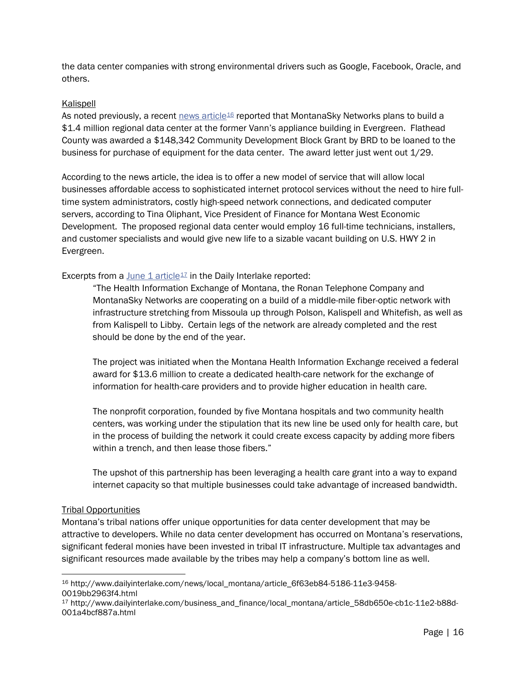the data center companies with strong environmental drivers such as Google, Facebook, Oracle, and others.

#### Kalispell

As noted previously, a recent [news article](http://www.dailyinterlake.com/news/local_montana/article_6f63eb84-5186-11e3-9458-0019bb2963f4.html)<sup>[16](#page-17-0)</sup> reported that MontanaSky Networks plans to build a \$1.4 million regional data center at the former Vann's appliance building in Evergreen. Flathead County was awarded a \$148,342 Community Development Block Grant by BRD to be loaned to the business for purchase of equipment for the data center. The award letter just went out 1/29.

According to the news article, the idea is to offer a new model of service that will allow local businesses affordable access to sophisticated internet protocol services without the need to hire fulltime system administrators, costly high-speed network connections, and dedicated computer servers, according to Tina Oliphant, Vice President of Finance for Montana West Economic Development. The proposed regional data center would employ 16 full-time technicians, installers, and customer specialists and would give new life to a sizable vacant building on U.S. HWY 2 in Evergreen.

#### Excerpts from a June  $1$  article<sup> $17$ </sup> in the Daily Interlake reported:

"The Health Information Exchange of Montana, the Ronan Telephone Company and MontanaSky Networks are cooperating on a build of a middle-mile fiber-optic network with infrastructure stretching from Missoula up through Polson, Kalispell and Whitefish, as well as from Kalispell to Libby. Certain legs of the network are already completed and the rest should be done by the end of the year.

The project was initiated when the Montana Health Information Exchange received a federal award for \$13.6 million to create a dedicated health-care network for the exchange of information for health-care providers and to provide higher education in health care.

The nonprofit corporation, founded by five Montana hospitals and two community health centers, was working under the stipulation that its new line be used only for health care, but in the process of building the network it could create excess capacity by adding more fibers within a trench, and then lease those fibers."

The upshot of this partnership has been leveraging a health care grant into a way to expand internet capacity so that multiple businesses could take advantage of increased bandwidth.

#### Tribal Opportunities

Montana's tribal nations offer unique opportunities for data center development that may be attractive to developers. While no data center development has occurred on Montana's reservations, significant federal monies have been invested in tribal IT infrastructure. Multiple tax advantages and significant resources made available by the tribes may help a company's bottom line as well.

<span id="page-17-0"></span> <sup>16</sup> http://www.dailyinterlake.com/news/local\_montana/article\_6f63eb84-5186-11e3-9458- 0019bb2963f4.html

<span id="page-17-1"></span><sup>17</sup> http://www.dailyinterlake.com/business\_and\_finance/local\_montana/article\_58db650e-cb1c-11e2-b88d-001a4bcf887a.html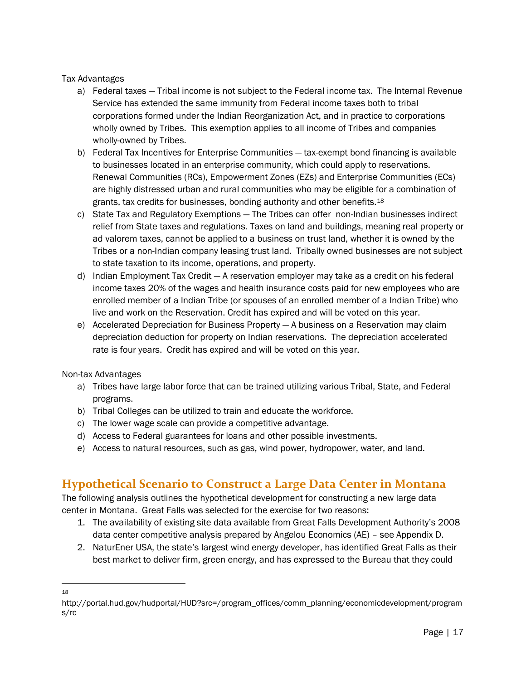#### Tax Advantages

- a) Federal taxes Tribal income is not subject to the Federal income tax. The Internal Revenue Service has extended the same immunity from Federal income taxes both to tribal corporations formed under the Indian Reorganization Act, and in practice to corporations wholly owned by Tribes. This exemption applies to all income of Tribes and companies wholly-owned by Tribes.
- b) Federal Tax Incentives for Enterprise Communities tax-exempt bond financing is available to businesses located in an enterprise community, which could apply to reservations. Renewal Communities (RCs), Empowerment Zones (EZs) and Enterprise Communities (ECs) are highly distressed urban and rural communities who may be eligible for a combination of grants, tax credits for businesses, bonding authority and other benefits.[18](#page-18-1)
- c) State Tax and Regulatory Exemptions The Tribes can offer non-Indian businesses indirect relief from State taxes and regulations. Taxes on land and buildings, meaning real property or ad valorem taxes, cannot be applied to a business on trust land, whether it is owned by the Tribes or a non-Indian company leasing trust land. Tribally owned businesses are not subject to state taxation to its income, operations, and property.
- d) Indian Employment Tax Credit A reservation employer may take as a credit on his federal income taxes 20% of the wages and health insurance costs paid for new employees who are enrolled member of a Indian Tribe (or spouses of an enrolled member of a Indian Tribe) who live and work on the Reservation. Credit has expired and will be voted on this year.
- e) Accelerated Depreciation for Business Property A business on a Reservation may claim depreciation deduction for property on Indian reservations. The depreciation accelerated rate is four years. Credit has expired and will be voted on this year.

#### Non-tax Advantages

- a) Tribes have large labor force that can be trained utilizing various Tribal, State, and Federal programs.
- b) Tribal Colleges can be utilized to train and educate the workforce.
- c) The lower wage scale can provide a competitive advantage.
- d) Access to Federal guarantees for loans and other possible investments.
- <span id="page-18-0"></span>e) Access to natural resources, such as gas, wind power, hydropower, water, and land.

## **Hypothetical Scenario to Construct a Large Data Center in Montana**

The following analysis outlines the hypothetical development for constructing a new large data center in Montana. Great Falls was selected for the exercise for two reasons:

- 1. The availability of existing site data available from Great Falls Development Authority's 2008 data center competitive analysis prepared by Angelou Economics (AE) – see Appendix D.
- 2. NaturEner USA, the state's largest wind energy developer, has identified Great Falls as their best market to deliver firm, green energy, and has expressed to the Bureau that they could

 <sup>18</sup>

<span id="page-18-1"></span>http://portal.hud.gov/hudportal/HUD?src=/program\_offices/comm\_planning/economicdevelopment/program s/rc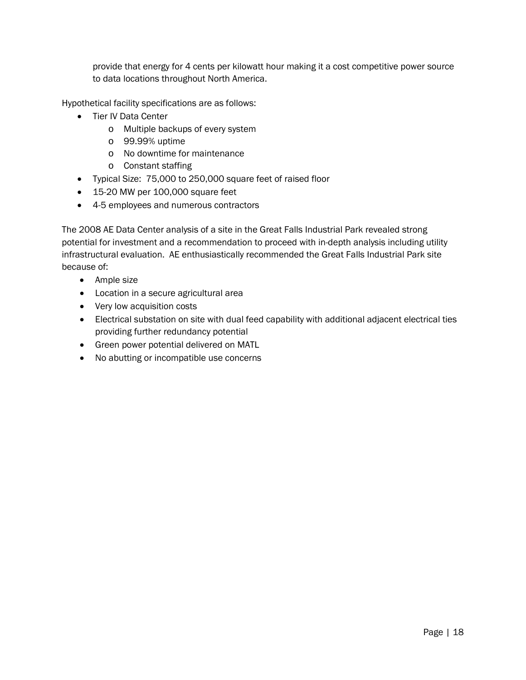provide that energy for 4 cents per kilowatt hour making it a cost competitive power source to data locations throughout North America.

Hypothetical facility specifications are as follows:

- Tier IV Data Center
	- o Multiple backups of every system
	- o 99.99% uptime
	- o No downtime for maintenance
	- o Constant staffing
- Typical Size: 75,000 to 250,000 square feet of raised floor
- 15-20 MW per 100,000 square feet
- 4-5 employees and numerous contractors

The 2008 AE Data Center analysis of a site in the Great Falls Industrial Park revealed strong potential for investment and a recommendation to proceed with in-depth analysis including utility infrastructural evaluation. AE enthusiastically recommended the Great Falls Industrial Park site because of:

- Ample size
- Location in a secure agricultural area
- Very low acquisition costs
- Electrical substation on site with dual feed capability with additional adjacent electrical ties providing further redundancy potential
- Green power potential delivered on MATL
- No abutting or incompatible use concerns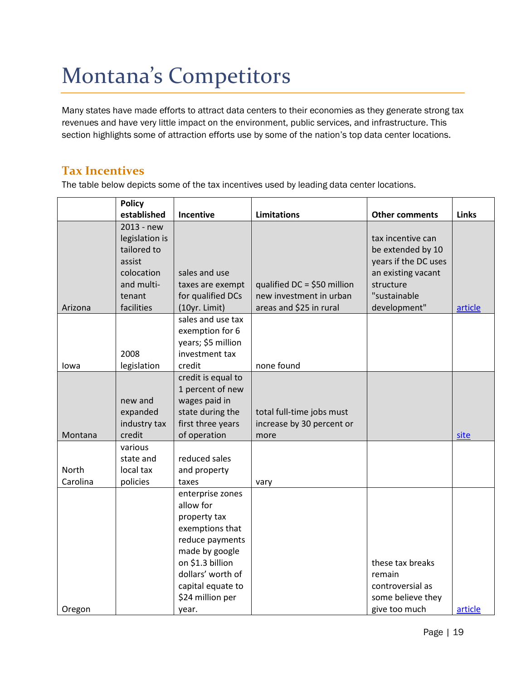# <span id="page-20-0"></span>Montana's Competitors

Many states have made efforts to attract data centers to their economies as they generate strong tax revenues and have very little impact on the environment, public services, and infrastructure. This section highlights some of attraction efforts use by some of the nation's top data center locations.

## <span id="page-20-1"></span>**Tax Incentives**

The table below depicts some of the tax incentives used by leading data center locations.

|                          | <b>Policy</b>                                                                                             |                                                                                                                                                                                                  |                                                                                    |                                                                                                                                   |              |
|--------------------------|-----------------------------------------------------------------------------------------------------------|--------------------------------------------------------------------------------------------------------------------------------------------------------------------------------------------------|------------------------------------------------------------------------------------|-----------------------------------------------------------------------------------------------------------------------------------|--------------|
|                          | established                                                                                               | <b>Incentive</b>                                                                                                                                                                                 | <b>Limitations</b>                                                                 | <b>Other comments</b>                                                                                                             | <b>Links</b> |
| Arizona                  | 2013 - new<br>legislation is<br>tailored to<br>assist<br>colocation<br>and multi-<br>tenant<br>facilities | sales and use<br>taxes are exempt<br>for qualified DCs<br>(10yr. Limit)                                                                                                                          | qualified $DC = $50$ million<br>new investment in urban<br>areas and \$25 in rural | tax incentive can<br>be extended by 10<br>years if the DC uses<br>an existing vacant<br>structure<br>"sustainable<br>development" | article      |
| Iowa                     | 2008<br>legislation                                                                                       | sales and use tax<br>exemption for 6<br>years; \$5 million<br>investment tax<br>credit                                                                                                           | none found                                                                         |                                                                                                                                   |              |
| Montana                  | new and<br>expanded<br>industry tax<br>credit<br>various                                                  | credit is equal to<br>1 percent of new<br>wages paid in<br>state during the<br>first three years<br>of operation                                                                                 | total full-time jobs must<br>increase by 30 percent or<br>more                     |                                                                                                                                   | site         |
| <b>North</b><br>Carolina | state and<br>local tax<br>policies                                                                        | reduced sales<br>and property<br>taxes                                                                                                                                                           | vary                                                                               |                                                                                                                                   |              |
| Oregon                   |                                                                                                           | enterprise zones<br>allow for<br>property tax<br>exemptions that<br>reduce payments<br>made by google<br>on \$1.3 billion<br>dollars' worth of<br>capital equate to<br>\$24 million per<br>year. |                                                                                    | these tax breaks<br>remain<br>controversial as<br>some believe they<br>give too much                                              | article      |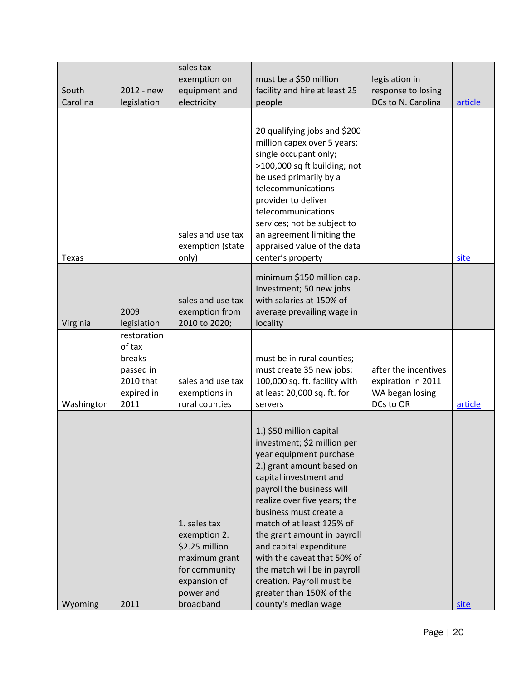| South<br>Carolina | 2012 - new<br>legislation                                                       | sales tax<br>exemption on<br>equipment and<br>electricity                                                                  | must be a \$50 million<br>facility and hire at least 25<br>people                                                                                                                                                                                                                                                                                                                                                                                                       | legislation in<br>response to losing<br>DCs to N. Carolina                 | article |
|-------------------|---------------------------------------------------------------------------------|----------------------------------------------------------------------------------------------------------------------------|-------------------------------------------------------------------------------------------------------------------------------------------------------------------------------------------------------------------------------------------------------------------------------------------------------------------------------------------------------------------------------------------------------------------------------------------------------------------------|----------------------------------------------------------------------------|---------|
| <b>Texas</b>      |                                                                                 | sales and use tax<br>exemption (state<br>only)                                                                             | 20 qualifying jobs and \$200<br>million capex over 5 years;<br>single occupant only;<br>>100,000 sq ft building; not<br>be used primarily by a<br>telecommunications<br>provider to deliver<br>telecommunications<br>services; not be subject to<br>an agreement limiting the<br>appraised value of the data<br>center's property                                                                                                                                       |                                                                            | site    |
| Virginia          | 2009<br>legislation                                                             | sales and use tax<br>exemption from<br>2010 to 2020;                                                                       | minimum \$150 million cap.<br>Investment; 50 new jobs<br>with salaries at 150% of<br>average prevailing wage in<br>locality                                                                                                                                                                                                                                                                                                                                             |                                                                            |         |
| Washington        | restoration<br>of tax<br>breaks<br>passed in<br>2010 that<br>expired in<br>2011 | sales and use tax<br>exemptions in<br>rural counties                                                                       | must be in rural counties;<br>must create 35 new jobs;<br>100,000 sq. ft. facility with<br>at least 20,000 sq. ft. for<br>servers                                                                                                                                                                                                                                                                                                                                       | after the incentives<br>expiration in 2011<br>WA began losing<br>DCs to OR | article |
| Wyoming           | 2011                                                                            | 1. sales tax<br>exemption 2.<br>\$2.25 million<br>maximum grant<br>for community<br>expansion of<br>power and<br>broadband | 1.) \$50 million capital<br>investment; \$2 million per<br>year equipment purchase<br>2.) grant amount based on<br>capital investment and<br>payroll the business will<br>realize over five years; the<br>business must create a<br>match of at least 125% of<br>the grant amount in payroll<br>and capital expenditure<br>with the caveat that 50% of<br>the match will be in payroll<br>creation. Payroll must be<br>greater than 150% of the<br>county's median wage |                                                                            | site    |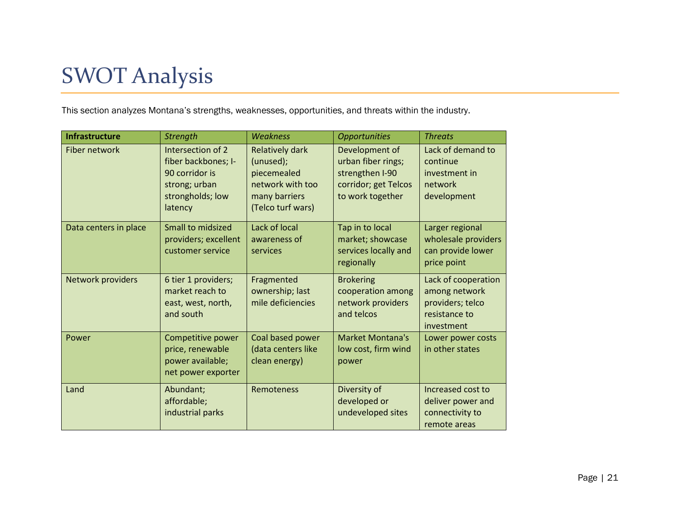# SWOT Analysis

This section analyzes Montana's strengths, weaknesses, opportunities, and threats within the industry.

<span id="page-22-0"></span>

| <b>Infrastructure</b> | <b>Strength</b>                                                                                            | <b>Weakness</b>                                                                                              | <b>Opportunities</b>                                                                                | <b>Threats</b>                                                                          |
|-----------------------|------------------------------------------------------------------------------------------------------------|--------------------------------------------------------------------------------------------------------------|-----------------------------------------------------------------------------------------------------|-----------------------------------------------------------------------------------------|
| Fiber network         | Intersection of 2<br>fiber backbones; I-<br>90 corridor is<br>strong; urban<br>strongholds; low<br>latency | <b>Relatively dark</b><br>(unused);<br>piecemealed<br>network with too<br>many barriers<br>(Telco turf wars) | Development of<br>urban fiber rings;<br>strengthen I-90<br>corridor; get Telcos<br>to work together | Lack of demand to<br>continue<br>investment in<br>network<br>development                |
| Data centers in place | <b>Small to midsized</b><br>providers; excellent<br>customer service                                       | Lack of local<br>awareness of<br>services                                                                    | Tap in to local<br>market; showcase<br>services locally and<br>regionally                           | Larger regional<br>wholesale providers<br>can provide lower<br>price point              |
| Network providers     | 6 tier 1 providers;<br>market reach to<br>east, west, north,<br>and south                                  | Fragmented<br>ownership; last<br>mile deficiencies                                                           | <b>Brokering</b><br>cooperation among<br>network providers<br>and telcos                            | Lack of cooperation<br>among network<br>providers; telco<br>resistance to<br>investment |
| Power                 | Competitive power<br>price, renewable<br>power available;<br>net power exporter                            | Coal based power<br>(data centers like<br>clean energy)                                                      | <b>Market Montana's</b><br>low cost, firm wind<br>power                                             | Lower power costs<br>in other states                                                    |
| Land                  | Abundant;<br>affordable;<br>industrial parks                                                               | Remoteness                                                                                                   | Diversity of<br>developed or<br>undeveloped sites                                                   | Increased cost to<br>deliver power and<br>connectivity to<br>remote areas               |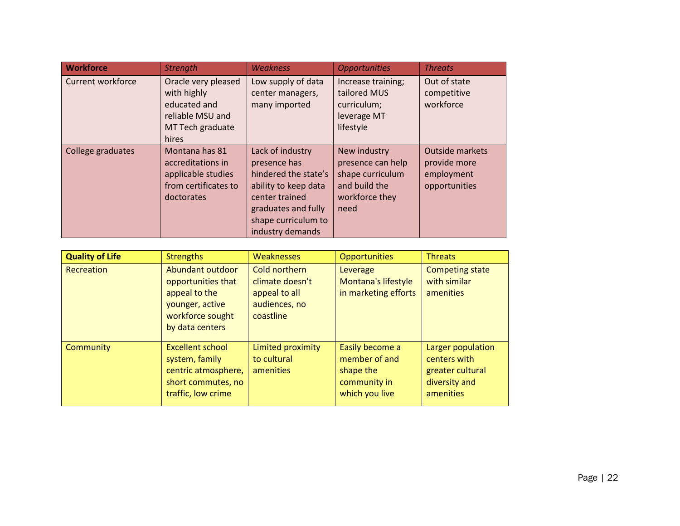| <b>Workforce</b>         | <b>Strength</b>                                                                                     | <b>Weakness</b>                                                                                                                                                      | <b>Opportunities</b>                                                                             | <b>Threats</b>                                                        |
|--------------------------|-----------------------------------------------------------------------------------------------------|----------------------------------------------------------------------------------------------------------------------------------------------------------------------|--------------------------------------------------------------------------------------------------|-----------------------------------------------------------------------|
| <b>Current workforce</b> | Oracle very pleased<br>with highly<br>educated and<br>reliable MSU and<br>MT Tech graduate<br>hires | Low supply of data<br>center managers,<br>many imported                                                                                                              | Increase training;<br>tailored MUS<br>curriculum;<br>leverage MT<br>lifestyle                    | Out of state<br>competitive<br>workforce                              |
| College graduates        | Montana has 81<br>accreditations in<br>applicable studies<br>from certificates to<br>doctorates     | Lack of industry<br>presence has<br>hindered the state's<br>ability to keep data<br>center trained<br>graduates and fully<br>shape curriculum to<br>industry demands | New industry<br>presence can help<br>shape curriculum<br>and build the<br>workforce they<br>need | <b>Outside markets</b><br>provide more<br>employment<br>opportunities |

| <b>Quality of Life</b> | <b>Strengths</b>                                                                                                  | Weaknesses                                                                      | <b>Opportunities</b>                                                            | Threats                                                                             |
|------------------------|-------------------------------------------------------------------------------------------------------------------|---------------------------------------------------------------------------------|---------------------------------------------------------------------------------|-------------------------------------------------------------------------------------|
| Recreation             | Abundant outdoor<br>opportunities that<br>appeal to the<br>younger, active<br>workforce sought<br>by data centers | Cold northern<br>climate doesn't<br>appeal to all<br>audiences, no<br>coastline | Leverage<br>Montana's lifestyle<br>in marketing efforts                         | <b>Competing state</b><br>with similar<br>amenities                                 |
| Community              | <b>Excellent school</b><br>system, family<br>centric atmosphere,<br>short commutes, no<br>traffic, low crime      | Limited proximity<br>to cultural<br>amenities                                   | Easily become a<br>member of and<br>shape the<br>community in<br>which you live | Larger population<br>centers with<br>greater cultural<br>diversity and<br>amenities |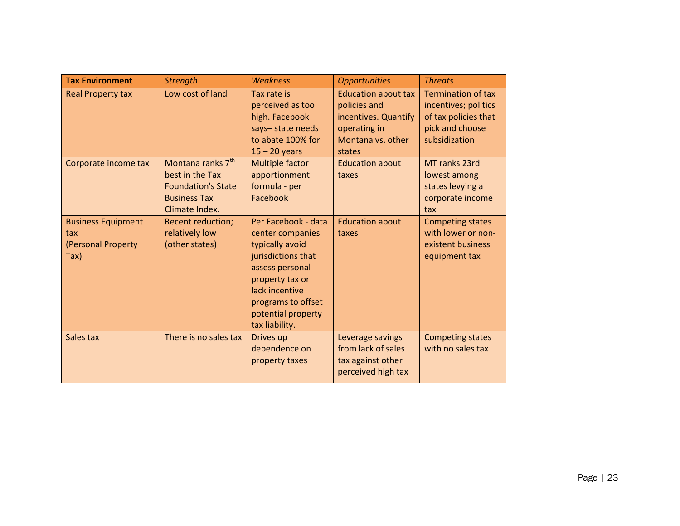| <b>Tax Environment</b>                                         | <b>Strength</b>                                                                                                        | <b>Weakness</b>                                                                                                                                                                                        | <b>Opportunities</b>                                                                                              | <b>Threats</b>                                                                                                |
|----------------------------------------------------------------|------------------------------------------------------------------------------------------------------------------------|--------------------------------------------------------------------------------------------------------------------------------------------------------------------------------------------------------|-------------------------------------------------------------------------------------------------------------------|---------------------------------------------------------------------------------------------------------------|
| <b>Real Property tax</b>                                       | Low cost of land                                                                                                       | Tax rate is<br>perceived as too<br>high. Facebook<br>says-state needs<br>to abate 100% for<br>$15 - 20$ years                                                                                          | <b>Education about tax</b><br>policies and<br>incentives. Quantify<br>operating in<br>Montana vs. other<br>states | <b>Termination of tax</b><br>incentives; politics<br>of tax policies that<br>pick and choose<br>subsidization |
| Corporate income tax                                           | Montana ranks 7 <sup>th</sup><br>best in the Tax<br><b>Foundation's State</b><br><b>Business Tax</b><br>Climate Index. | <b>Multiple factor</b><br>apportionment<br>formula - per<br>Facebook                                                                                                                                   | <b>Education about</b><br>taxes                                                                                   | MT ranks 23rd<br>lowest among<br>states levying a<br>corporate income<br>tax                                  |
| <b>Business Equipment</b><br>tax<br>(Personal Property<br>Tax) | <b>Recent reduction;</b><br>relatively low<br>(other states)                                                           | Per Facebook - data<br>center companies<br>typically avoid<br>jurisdictions that<br>assess personal<br>property tax or<br>lack incentive<br>programs to offset<br>potential property<br>tax liability. | <b>Education about</b><br>taxes                                                                                   | <b>Competing states</b><br>with lower or non-<br>existent business<br>equipment tax                           |
| Sales tax                                                      | There is no sales tax                                                                                                  | Drives up<br>dependence on<br>property taxes                                                                                                                                                           | Leverage savings<br>from lack of sales<br>tax against other<br>perceived high tax                                 | <b>Competing states</b><br>with no sales tax                                                                  |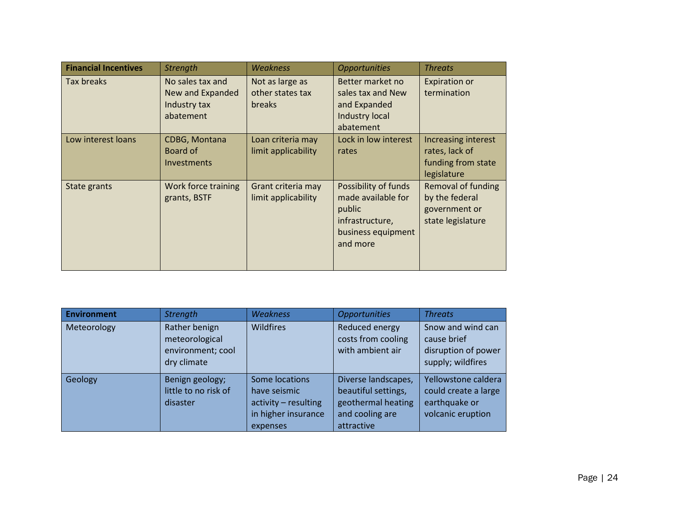| <b>Financial Incentives</b> | <b>Strength</b>                                                   | Weakness                                             | <b>Opportunities</b>                                                                                      | <b>Threats</b>                                                                    |
|-----------------------------|-------------------------------------------------------------------|------------------------------------------------------|-----------------------------------------------------------------------------------------------------------|-----------------------------------------------------------------------------------|
| Tax breaks                  | No sales tax and<br>New and Expanded<br>Industry tax<br>abatement | Not as large as<br>other states tax<br><b>breaks</b> | Better market no<br>sales tax and New<br>and Expanded<br>Industry local<br>abatement                      | <b>Expiration or</b><br>termination                                               |
| Low interest loans          | CDBG, Montana<br>Board of<br><b>Investments</b>                   | Loan criteria may<br>limit applicability             | Lock in low interest<br>rates                                                                             | Increasing interest<br>rates, lack of<br>funding from state<br>legislature        |
| State grants                | Work force training<br>grants, BSTF                               | Grant criteria may<br>limit applicability            | Possibility of funds<br>made available for<br>public<br>infrastructure,<br>business equipment<br>and more | <b>Removal of funding</b><br>by the federal<br>government or<br>state legislature |

| <b>Environment</b> | <b>Strength</b>                                                     | <b>Weakness</b>                                                                           | <b>Opportunities</b>                                                                              | <b>Threats</b>                                                                    |
|--------------------|---------------------------------------------------------------------|-------------------------------------------------------------------------------------------|---------------------------------------------------------------------------------------------------|-----------------------------------------------------------------------------------|
| Meteorology        | Rather benign<br>meteorological<br>environment; cool<br>dry climate | Wildfires                                                                                 | Reduced energy<br>costs from cooling<br>with ambient air                                          | Snow and wind can<br>cause brief<br>disruption of power<br>supply; wildfires      |
| Geology            | Benign geology;<br>little to no risk of<br>disaster                 | Some locations<br>have seismic<br>activity - resulting<br>in higher insurance<br>expenses | Diverse landscapes,<br>beautiful settings,<br>geothermal heating<br>and cooling are<br>attractive | Yellowstone caldera<br>could create a large<br>earthquake or<br>volcanic eruption |